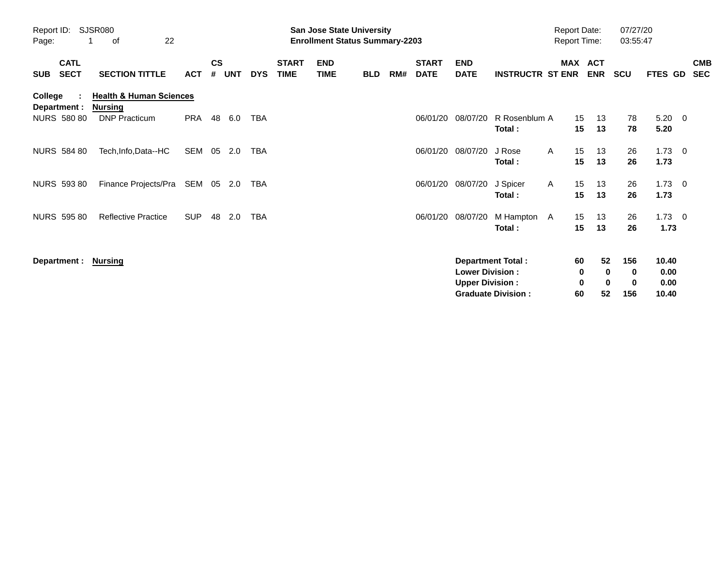| Report ID:<br>SJSR080<br>22<br>οf<br>Page:           |                                                                              |            |                    | <b>San Jose State University</b><br><b>Enrollment Status Summary-2203</b> |            |                             |                           |            |     |                             |                                                  | <b>Report Date:</b><br><b>Report Time:</b>            |              |                    | 07/27/20<br>03:55:47             |                      |                                |                          |
|------------------------------------------------------|------------------------------------------------------------------------------|------------|--------------------|---------------------------------------------------------------------------|------------|-----------------------------|---------------------------|------------|-----|-----------------------------|--------------------------------------------------|-------------------------------------------------------|--------------|--------------------|----------------------------------|----------------------|--------------------------------|--------------------------|
| <b>CATL</b><br><b>SECT</b><br><b>SUB</b>             | <b>SECTION TITTLE</b>                                                        | ACT        | $\mathsf{cs}$<br># | <b>UNT</b>                                                                | <b>DYS</b> | <b>START</b><br><b>TIME</b> | <b>END</b><br><b>TIME</b> | <b>BLD</b> | RM# | <b>START</b><br><b>DATE</b> | <b>END</b><br><b>DATE</b>                        | <b>INSTRUCTR ST ENR</b>                               |              | MAX ACT            | <b>ENR</b>                       | <b>SCU</b>           | <b>FTES GD</b>                 | <b>CMB</b><br><b>SEC</b> |
| <b>College</b><br>Department :<br><b>NURS 580 80</b> | <b>Health &amp; Human Sciences</b><br><b>Nursing</b><br><b>DNP Practicum</b> | PRA        | 48                 | 6.0                                                                       | TBA        |                             |                           |            |     | 06/01/20                    | 08/07/20                                         | R Rosenblum A                                         |              | 15                 | 13                               | 78                   | 5.20                           | $\overline{\mathbf{0}}$  |
|                                                      |                                                                              |            |                    |                                                                           |            |                             |                           |            |     |                             |                                                  | Total:                                                |              | 15                 | 13                               | 78                   | 5.20                           |                          |
| <b>NURS 584 80</b>                                   | Tech, Info, Data--HC                                                         | SEM 05     |                    | 2.0                                                                       | TBA        |                             |                           |            |     | 06/01/20                    | 08/07/20                                         | J Rose<br>Total:                                      | A            | 15<br>15           | 13<br>13                         | 26<br>26             | 1.73<br>1.73                   | $\overline{\mathbf{0}}$  |
| <b>NURS 593 80</b>                                   | Finance Projects/Pra                                                         | SEM 05 2.0 |                    |                                                                           | TBA        |                             |                           |            |     | 06/01/20                    | 08/07/20                                         | J Spicer<br>Total:                                    | $\mathsf{A}$ | 15<br>15           | 13<br>13                         | 26<br>26             | 1.73<br>1.73                   | $\overline{\mathbf{0}}$  |
| <b>NURS 595 80</b>                                   | <b>Reflective Practice</b>                                                   | <b>SUP</b> | 48                 | 2.0                                                                       | TBA        |                             |                           |            |     | 06/01/20                    | 08/07/20                                         | M Hampton A<br>Total:                                 |              | 15<br>15           | 13<br>13                         | 26<br>26             | $1.73 \t 0$<br>1.73            |                          |
| Department :                                         | Nursing                                                                      |            |                    |                                                                           |            |                             |                           |            |     |                             | <b>Lower Division:</b><br><b>Upper Division:</b> | <b>Department Total:</b><br><b>Graduate Division:</b> |              | 60<br>0<br>0<br>60 | 52<br>$\bf{0}$<br>$\bf{0}$<br>52 | 156<br>0<br>0<br>156 | 10.40<br>0.00<br>0.00<br>10.40 |                          |